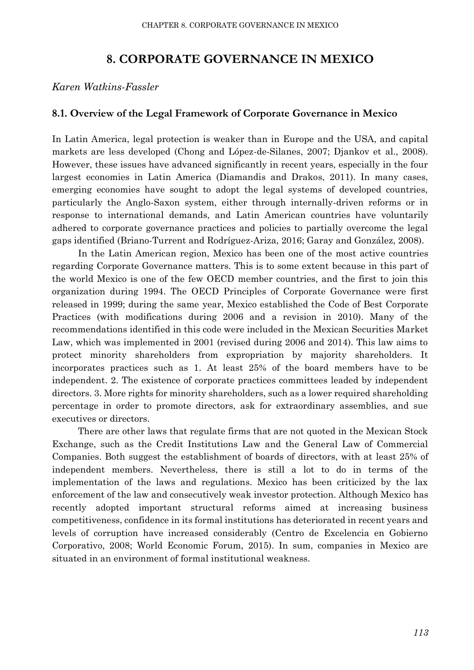# **8. CORPORATE GOVERNANCE IN MEXICO**

*Karen Watkins-Fassler*

# **8.1. Overview of the Legal Framework of Corporate Governance in Mexico**

In Latin America, legal protection is weaker than in Europe and the USA, and capital markets are less developed (Chong and López-de-Silanes, 2007; Djankov et al., 2008). However, these issues have advanced significantly in recent years, especially in the four largest economies in Latin America (Diamandis and Drakos, 2011). In many cases, emerging economies have sought to adopt the legal systems of developed countries, particularly the Anglo-Saxon system, either through internally-driven reforms or in response to international demands, and Latin American countries have voluntarily adhered to corporate governance practices and policies to partially overcome the legal gaps identified (Briano-Turrent and Rodríguez-Ariza, 2016; Garay and González, 2008).

In the Latin American region, Mexico has been one of the most active countries regarding Corporate Governance matters. This is to some extent because in this part of the world Mexico is one of the few OECD member countries, and the first to join this organization during 1994. The OECD Principles of Corporate Governance were first released in 1999; during the same year, Mexico established the Code of Best Corporate Practices (with modifications during 2006 and a revision in 2010). Many of the recommendations identified in this code were included in the Mexican Securities Market Law, which was implemented in 2001 (revised during 2006 and 2014). This law aims to protect minority shareholders from expropriation by majority shareholders. It incorporates practices such as 1. At least 25% of the board members have to be independent. 2. The existence of corporate practices committees leaded by independent directors. 3. More rights for minority shareholders, such as a lower required shareholding percentage in order to promote directors, ask for extraordinary assemblies, and sue executives or directors.

There are other laws that regulate firms that are not quoted in the Mexican Stock Exchange, such as the Credit Institutions Law and the General Law of Commercial Companies. Both suggest the establishment of boards of directors, with at least 25% of independent members. Nevertheless, there is still a lot to do in terms of the implementation of the laws and regulations. Mexico has been criticized by the lax enforcement of the law and consecutively weak investor protection. Although Mexico has recently adopted important structural reforms aimed at increasing business competitiveness, confidence in its formal institutions has deteriorated in recent years and levels of corruption have increased considerably (Centro de Excelencia en Gobierno Corporativo, 2008; World Economic Forum, 2015). In sum, companies in Mexico are situated in an environment of formal institutional weakness.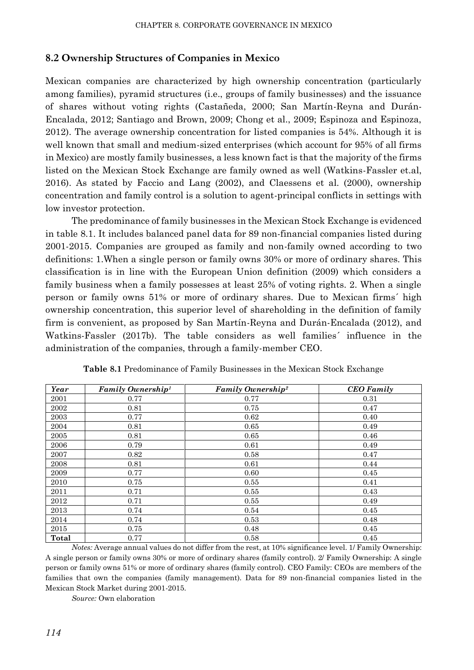## **8.2 Ownership Structures of Companies in Mexico**

Mexican companies are characterized by high ownership concentration (particularly among families), pyramid structures (i.e., groups of family businesses) and the issuance of shares without voting rights (Castañeda, 2000; San Martín-Reyna and Durán-Encalada, 2012; Santiago and Brown, 2009; Chong et al., 2009; Espinoza and Espinoza, 2012). The average ownership concentration for listed companies is 54%. Although it is well known that small and medium-sized enterprises (which account for 95% of all firms in Mexico) are mostly family businesses, a less known fact is that the majority of the firms listed on the Mexican Stock Exchange are family owned as well (Watkins-Fassler et.al, 2016). As stated by Faccio and Lang (2002), and Claessens et al. (2000), ownership concentration and family control is a solution to agent-principal conflicts in settings with low investor protection.

The predominance of family businesses in the Mexican Stock Exchange is evidenced in table 8.1. It includes balanced panel data for 89 non-financial companies listed during 2001-2015. Companies are grouped as family and non-family owned according to two definitions: 1.When a single person or family owns 30% or more of ordinary shares. This classification is in line with the European Union definition (2009) which considers a family business when a family possesses at least 25% of voting rights. 2. When a single person or family owns 51% or more of ordinary shares. Due to Mexican firms´ high ownership concentration, this superior level of shareholding in the definition of family firm is convenient, as proposed by San Martín-Reyna and Durán-Encalada (2012), and Watkins-Fassler (2017b). The table considers as well families´ influence in the administration of the companies, through a family-member CEO.

| Year  | Family Ownership <sup>1</sup> | <b>Family Ownership<sup>2</sup></b> | <b>CEO</b> Family |
|-------|-------------------------------|-------------------------------------|-------------------|
| 2001  | 0.77                          | 0.77                                | 0.31              |
| 2002  | 0.81                          | 0.75                                | 0.47              |
| 2003  | 0.77                          | 0.62                                | 0.40              |
| 2004  | 0.81                          | 0.65                                | 0.49              |
| 2005  | 0.81                          | 0.65                                | 0.46              |
| 2006  | 0.79                          | 0.61                                | 0.49              |
| 2007  | 0.82                          | 0.58                                | 0.47              |
| 2008  | 0.81                          | 0.61                                | 0.44              |
| 2009  | 0.77                          | 0.60                                | 0.45              |
| 2010  | 0.75                          | 0.55                                | 0.41              |
| 2011  | 0.71                          | 0.55                                | 0.43              |
| 2012  | 0.71                          | 0.55                                | 0.49              |
| 2013  | 0.74                          | 0.54                                | 0.45              |
| 2014  | 0.74                          | 0.53                                | 0.48              |
| 2015  | 0.75                          | 0.48                                | 0.45              |
| Total | 0.77                          | 0.58                                | 0.45              |

**Table 8.1** Predominance of Family Businesses in the Mexican Stock Exchange

*Notes:* Average annual values do not differ from the rest, at 10% significance level. 1/ Family Ownership: A single person or family owns 30% or more of ordinary shares (family control). 2/ Family Ownership: A single person or family owns 51% or more of ordinary shares (family control). CEO Family: CEOs are members of the families that own the companies (family management). Data for 89 non-financial companies listed in the Mexican Stock Market during 2001-2015.

*Source:* Own elaboration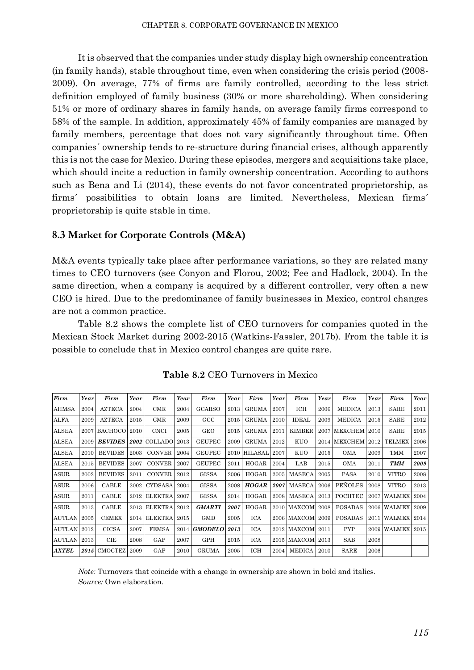It is observed that the companies under study display high ownership concentration (in family hands), stable throughout time, even when considering the crisis period (2008- 2009). On average, 77% of firms are family controlled, according to the less strict definition employed of family business (30% or more shareholding). When considering 51% or more of ordinary shares in family hands, on average family firms correspond to 58% of the sample. In addition, approximately 45% of family companies are managed by family members, percentage that does not vary significantly throughout time. Often companies´ ownership tends to re-structure during financial crises, although apparently this is not the case for Mexico. During these episodes, mergers and acquisitions take place, which should incite a reduction in family ownership concentration. According to authors such as Bena and Li (2014), these events do not favor concentrated proprietorship, as firms´ possibilities to obtain loans are limited. Nevertheless, Mexican firms´ proprietorship is quite stable in time.

## **8.3 Market for Corporate Controls (M&A)**

M&A events typically take place after performance variations, so they are related many times to CEO turnovers (see Conyon and Florou, 2002; Fee and Hadlock, 2004). In the same direction, when a company is acquired by a different controller, very often a new CEO is hired. Due to the predominance of family businesses in Mexico, control changes are not a common practice.

Table 8.2 shows the complete list of CEO turnovers for companies quoted in the Mexican Stock Market during 2002-2015 (Watkins-Fassler, 2017b). From the table it is possible to conclude that in Mexico control changes are quite rare.

| Firm               | Year | Firm           | Year | Firm           | Year | Firm          | Year | Firm           | Year | Firm             | Year | Firm           | Year | Firm             | Year |
|--------------------|------|----------------|------|----------------|------|---------------|------|----------------|------|------------------|------|----------------|------|------------------|------|
| <b>AHMSA</b>       | 2004 | <b>AZTECA</b>  | 2004 | CMR            | 2004 | <b>GCARSO</b> | 2013 | <b>GRUMA</b>   | 2007 | ICH              | 2006 | MEDICA         | 2013 | SARE             | 2011 |
| ALFA               | 2009 | <b>AZTECA</b>  | 2015 | CMR            | 2009 | $_{\rm GCC}$  | 2015 | <b>GRUMA</b>   | 2010 | IDEAL            | 2009 | MEDICA         | 2015 | SARE             | 2012 |
| <b>ALSEA</b>       | 2007 | <b>BACHOCO</b> | 2010 | <b>CNCI</b>    | 2005 | GEO           | 2015 | <b>GRUMA</b>   | 2011 | <b>KIMBER</b>    | 2007 | <b>MEXCHEM</b> | 2010 | SARE             | 2015 |
| <b>ALSEA</b>       | 2009 | <b>BEVIDES</b> | 2002 | <b>COLLADO</b> | 2013 | <b>GEUPEC</b> | 2009 | <b>GRUMA</b>   | 2012 | KUO              | 2014 | <b>MEXCHEM</b> | 2012 | TELMEX           | 2006 |
| <b>ALSEA</b>       | 2010 | <b>BEVIDES</b> | 2003 | <b>CONVER</b>  | 2004 | <b>GEUPEC</b> | 2010 | <b>HILASAL</b> | 2007 | <b>KUO</b>       | 2015 | <b>OMA</b>     | 2009 | TMM              | 2007 |
| <b>ALSEA</b>       | 2015 | <b>BEVIDES</b> | 2007 | <b>CONVER</b>  | 2007 | <b>GEUPEC</b> | 2011 | <b>HOGAR</b>   | 2004 | LAB              | 2015 | <b>OMA</b>     | 2011 | <b>TMM</b>       | 2009 |
| <b>ASUR</b>        | 2002 | <b>BEVIDES</b> | 2011 | <b>CONVER</b>  | 2012 | GISSA         | 2006 | <b>HOGAR</b>   | 2005 | <b>MASECA</b>    | 2005 | <b>PASA</b>    | 2010 | <b>VITRO</b>     | 2008 |
| <b>ASUR</b>        | 2006 | CABLE          | 2002 | <b>CYDSASA</b> | 2004 | <b>GISSA</b>  | 2008 | HOGAR          | 2007 | <b>MASECA</b>    | 2006 | <b>PEÑOLES</b> | 2008 | VITRO            | 2013 |
| <b>ASUR</b>        | 2011 | CABLE          | 2012 | <b>ELEKTRA</b> | 2007 | <b>GISSA</b>  | 2014 | <b>HOGAR</b>   | 2008 | MASECA           | 2013 | <b>POCHTEC</b> |      | 2007 WALMEX      | 2004 |
| <b>ASUR</b>        | 2013 | CABLE          | 2013 | <b>ELEKTRA</b> | 2012 | <b>GMARTI</b> | 2007 | <b>HOGAR</b>   | 2010 | MAXCOM           | 2008 | <b>POSADAS</b> |      | 2006 WALMEX      | 2009 |
| <b>AUTLAN 2005</b> |      | <b>CEMEX</b>   | 2014 | <b>ELEKTRA</b> | 2015 | <b>GMD</b>    | 2005 | ICA            |      | 2006 MAXCOM      | 2009 | <b>POSADAS</b> | 2011 | <b>WALMEX</b>    | 2014 |
| <b>AUTLAN 2012</b> |      | <b>CICSA</b>   | 2007 | <b>FEMSA</b>   | 2014 | GMODELO 2013  |      | ICA            |      | 2012 MAXCOM 2011 |      | <b>PYP</b>     |      | 2009 WALMEX 2015 |      |
| AUTLAN 2013        |      | CIE            | 2008 | GAP            | 2007 | GPH           | 2015 | ICA            |      | 2015 MAXCOM      | 2013 | SAB            | 2008 |                  |      |
| <b>AXTEL</b>       |      | 2015 CMOCTEZ   | 2009 | GAP            | 2010 | <b>GRUMA</b>  | 2005 | ICH            | 2004 | MEDICA           | 2010 | SARE           | 2006 |                  |      |

**Table 8.2** CEO Turnovers in Mexico

*Note:* Turnovers that coincide with a change in ownership are shown in bold and italics. *Source:* Own elaboration.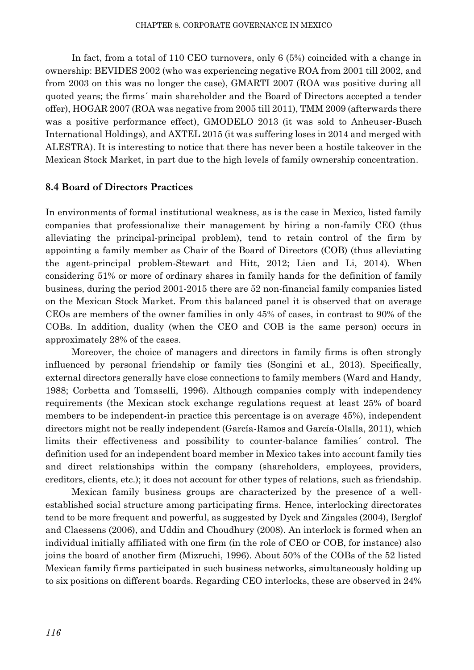In fact, from a total of 110 CEO turnovers, only 6 (5%) coincided with a change in ownership: BEVIDES 2002 (who was experiencing negative ROA from 2001 till 2002, and from 2003 on this was no longer the case), GMARTI 2007 (ROA was positive during all quoted years; the firms´ main shareholder and the Board of Directors accepted a tender offer), HOGAR 2007 (ROA was negative from 2005 till 2011), TMM 2009 (afterwards there was a positive performance effect), GMODELO 2013 (it was sold to Anheuser-Busch International Holdings), and AXTEL 2015 (it was suffering loses in 2014 and merged with ALESTRA). It is interesting to notice that there has never been a hostile takeover in the Mexican Stock Market, in part due to the high levels of family ownership concentration.

## **8.4 Board of Directors Practices**

In environments of formal institutional weakness, as is the case in Mexico, listed family companies that professionalize their management by hiring a non-family CEO (thus alleviating the principal-principal problem), tend to retain control of the firm by appointing a family member as Chair of the Board of Directors (COB) (thus alleviating the agent-principal problem-Stewart and Hitt, 2012; Lien and Li, 2014). When considering 51% or more of ordinary shares in family hands for the definition of family business, during the period 2001-2015 there are 52 non-financial family companies listed on the Mexican Stock Market. From this balanced panel it is observed that on average CEOs are members of the owner families in only 45% of cases, in contrast to 90% of the COBs. In addition, duality (when the CEO and COB is the same person) occurs in approximately 28% of the cases.

Moreover, the choice of managers and directors in family firms is often strongly influenced by personal friendship or family ties (Songini et al., 2013). Specifically, external directors generally have close connections to family members (Ward and Handy, 1988; Corbetta and Tomaselli, 1996). Although companies comply with independency requirements (the Mexican stock exchange regulations request at least 25% of board members to be independent-in practice this percentage is on average 45%), independent directors might not be really independent (García-Ramos and García-Olalla, 2011), which limits their effectiveness and possibility to counter-balance families´ control. The definition used for an independent board member in Mexico takes into account family ties and direct relationships within the company (shareholders, employees, providers, creditors, clients, etc.); it does not account for other types of relations, such as friendship.

Mexican family business groups are characterized by the presence of a wellestablished social structure among participating firms. Hence, interlocking directorates tend to be more frequent and powerful, as suggested by Dyck and Zingales (2004), Berglof and Claessens (2006), and Uddin and Choudhury (2008). An interlock is formed when an individual initially affiliated with one firm (in the role of CEO or COB, for instance) also joins the board of another firm (Mizruchi, 1996). About 50% of the COBs of the 52 listed Mexican family firms participated in such business networks, simultaneously holding up to six positions on different boards. Regarding CEO interlocks, these are observed in 24%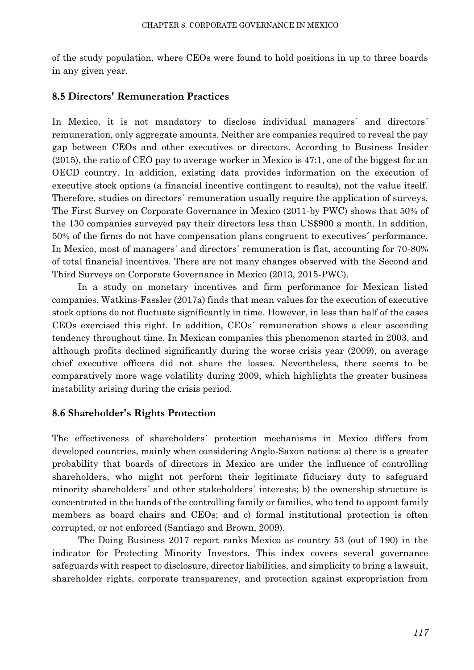of the study population, where CEOs were found to hold positions in up to three boards in any given year.

# **8.5 Directors' Remuneration Practices**

In Mexico, it is not mandatory to disclose individual managers' and directors' remuneration, only aggregate amounts. Neither are companies required to reveal the pay gap between CEOs and other executives or directors. According to Business Insider (2015), the ratio of CEO pay to average worker in Mexico is 47:1, one of the biggest for an OECD country. In addition, existing data provides information on the execution of executive stock options (a financial incentive contingent to results), not the value itself. Therefore, studies on directors´ remuneration usually require the application of surveys. The First Survey on Corporate Governance in Mexico (2011-by PWC) shows that 50% of the 130 companies surveyed pay their directors less than US\$900 a month. In addition, 50% of the firms do not have compensation plans congruent to executives´ performance. In Mexico, most of managers´ and directors´ remuneration is flat, accounting for 70-80% of total financial incentives. There are not many changes observed with the Second and Third Surveys on Corporate Governance in Mexico (2013, 2015-PWC).

In a study on monetary incentives and firm performance for Mexican listed companies, Watkins-Fassler (2017a) finds that mean values for the execution of executive stock options do not fluctuate significantly in time. However, in less than half of the cases CEOs exercised this right. In addition, CEOs´ remuneration shows a clear ascending tendency throughout time. In Mexican companies this phenomenon started in 2003, and although profits declined significantly during the worse crisis year (2009), on average chief executive officers did not share the losses. Nevertheless, there seems to be comparatively more wage volatility during 2009, which highlights the greater business instability arising during the crisis period.

## **8.6 Shareholder's Rights Protection**

The effectiveness of shareholders´ protection mechanisms in Mexico differs from developed countries, mainly when considering Anglo-Saxon nations: a) there is a greater probability that boards of directors in Mexico are under the influence of controlling shareholders, who might not perform their legitimate fiduciary duty to safeguard minority shareholders´ and other stakeholders´ interests; b) the ownership structure is concentrated in the hands of the controlling family or families, who tend to appoint family members as board chairs and CEOs; and c) formal institutional protection is often corrupted, or not enforced (Santiago and Brown, 2009).

The Doing Business 2017 report ranks Mexico as country 53 (out of 190) in the indicator for Protecting Minority Investors. This index covers several governance safeguards with respect to disclosure, director liabilities, and simplicity to bring a lawsuit, shareholder rights, corporate transparency, and protection against expropriation from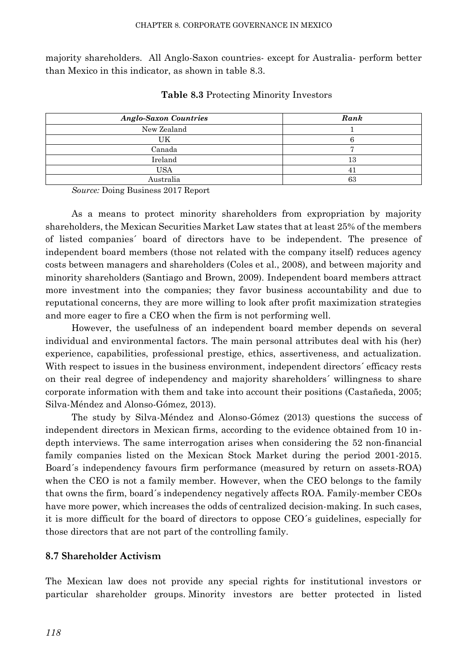majority shareholders. All Anglo-Saxon countries- except for Australia- perform better than Mexico in this indicator, as shown in table 8.3.

| <b>Anglo-Saxon Countries</b> | Rank |
|------------------------------|------|
| New Zealand                  |      |
| UΚ                           |      |
| Canada                       |      |
| Ireland                      | L 67 |
| USA                          |      |
| Australia                    | 63   |

**Table 8.3** Protecting Minority Investors

*Source:* Doing Business 2017 Report

As a means to protect minority shareholders from expropriation by majority shareholders, the Mexican Securities Market Law states that at least 25% of the members of listed companies´ board of directors have to be independent. The presence of independent board members (those not related with the company itself) reduces agency costs between managers and shareholders (Coles et al., 2008), and between majority and minority shareholders (Santiago and Brown, 2009). Independent board members attract more investment into the companies; they favor business accountability and due to reputational concerns, they are more willing to look after profit maximization strategies and more eager to fire a CEO when the firm is not performing well.

However, the usefulness of an independent board member depends on several individual and environmental factors. The main personal attributes deal with his (her) experience, capabilities, professional prestige, ethics, assertiveness, and actualization. With respect to issues in the business environment, independent directors' efficacy rests on their real degree of independency and majority shareholders´ willingness to share corporate information with them and take into account their positions (Castañeda, 2005; Silva-Méndez and Alonso-Gómez, 2013).

The study by Silva-Méndez and Alonso-Gómez (2013) questions the success of independent directors in Mexican firms, according to the evidence obtained from 10 indepth interviews. The same interrogation arises when considering the 52 non-financial family companies listed on the Mexican Stock Market during the period 2001-2015. Board´s independency favours firm performance (measured by return on assets-ROA) when the CEO is not a family member. However, when the CEO belongs to the family that owns the firm, board´s independency negatively affects ROA. Family-member CEOs have more power, which increases the odds of centralized decision-making. In such cases, it is more difficult for the board of directors to oppose CEO´s guidelines, especially for those directors that are not part of the controlling family.

## **8.7 Shareholder Activism**

The Mexican law does not provide any special rights for institutional investors or particular shareholder groups. Minority investors are better protected in listed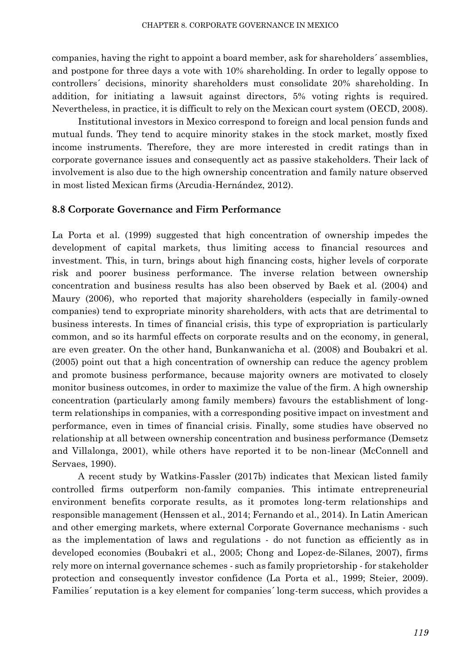companies, having the right to appoint a board member, ask for shareholders´ assemblies, and postpone for three days a vote with 10% shareholding. In order to legally oppose to controllers´ decisions, minority shareholders must consolidate 20% shareholding. In addition, for initiating a lawsuit against directors, 5% voting rights is required. Nevertheless, in practice, it is difficult to rely on the Mexican court system (OECD, 2008).

Institutional investors in Mexico correspond to foreign and local pension funds and mutual funds. They tend to acquire minority stakes in the stock market, mostly fixed income instruments. Therefore, they are more interested in credit ratings than in corporate governance issues and consequently act as passive stakeholders. Their lack of involvement is also due to the high ownership concentration and family nature observed in most listed Mexican firms (Arcudia-Hernández, 2012).

## **8.8 Corporate Governance and Firm Performance**

La Porta et al. (1999) suggested that high concentration of ownership impedes the development of capital markets, thus limiting access to financial resources and investment. This, in turn, brings about high financing costs, higher levels of corporate risk and poorer business performance. The inverse relation between ownership concentration and business results has also been observed by Baek et al. (2004) and Maury (2006), who reported that majority shareholders (especially in family-owned companies) tend to expropriate minority shareholders, with acts that are detrimental to business interests. In times of financial crisis, this type of expropriation is particularly common, and so its harmful effects on corporate results and on the economy, in general, are even greater. On the other hand, Bunkanwanicha et al. (2008) and Boubakri et al. (2005) point out that a high concentration of ownership can reduce the agency problem and promote business performance, because majority owners are motivated to closely monitor business outcomes, in order to maximize the value of the firm. A high ownership concentration (particularly among family members) favours the establishment of longterm relationships in companies, with a corresponding positive impact on investment and performance, even in times of financial crisis. Finally, some studies have observed no relationship at all between ownership concentration and business performance (Demsetz and Villalonga, 2001), while others have reported it to be non-linear (McConnell and Servaes, 1990).

A recent study by Watkins-Fassler (2017b) indicates that Mexican listed family controlled firms outperform non-family companies. This intimate entrepreneurial environment benefits corporate results, as it promotes long-term relationships and responsible management (Henssen et al., 2014; Fernando et al., 2014). In Latin American and other emerging markets, where external Corporate Governance mechanisms - such as the implementation of laws and regulations - do not function as efficiently as in developed economies (Boubakri et al., 2005; Chong and Lopez-de-Silanes, 2007), firms rely more on internal governance schemes - such as family proprietorship - for stakeholder protection and consequently investor confidence (La Porta et al., 1999; Steier, 2009). Families´ reputation is a key element for companies´ long-term success, which provides a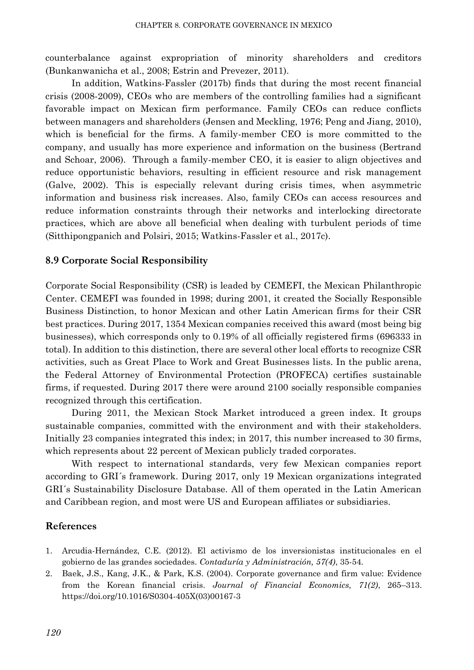counterbalance against expropriation of minority shareholders and creditors (Bunkanwanicha et al., 2008; Estrin and Prevezer, 2011).

In addition, Watkins-Fassler (2017b) finds that during the most recent financial crisis (2008-2009), CEOs who are members of the controlling families had a significant favorable impact on Mexican firm performance. Family CEOs can reduce conflicts between managers and shareholders (Jensen and Meckling, 1976; Peng and Jiang, 2010), which is beneficial for the firms. A family-member CEO is more committed to the company, and usually has more experience and information on the business (Bertrand and Schoar, 2006). Through a family-member CEO, it is easier to align objectives and reduce opportunistic behaviors, resulting in efficient resource and risk management (Galve, 2002). This is especially relevant during crisis times, when asymmetric information and business risk increases. Also, family CEOs can access resources and reduce information constraints through their networks and interlocking directorate practices, which are above all beneficial when dealing with turbulent periods of time (Sitthipongpanich and Polsiri, 2015; Watkins-Fassler et al., 2017c).

## **8.9 Corporate Social Responsibility**

Corporate Social Responsibility (CSR) is leaded by CEMEFI, the Mexican Philanthropic Center. CEMEFI was founded in 1998; during 2001, it created the Socially Responsible Business Distinction, to honor Mexican and other Latin American firms for their CSR best practices. During 2017, 1354 Mexican companies received this award (most being big businesses), which corresponds only to 0.19% of all officially registered firms (696333 in total). In addition to this distinction, there are several other local efforts to recognize CSR activities, such as Great Place to Work and Great Businesses lists. In the public arena, the Federal Attorney of Environmental Protection (PROFECA) certifies sustainable firms, if requested. During 2017 there were around 2100 socially responsible companies recognized through this certification.

During 2011, the Mexican Stock Market introduced a green index. It groups sustainable companies, committed with the environment and with their stakeholders. Initially 23 companies integrated this index; in 2017, this number increased to 30 firms, which represents about 22 percent of Mexican publicly traded corporates.

With respect to international standards, very few Mexican companies report according to GRI´s framework. During 2017, only 19 Mexican organizations integrated GRI´s Sustainability Disclosure Database. All of them operated in the Latin American and Caribbean region, and most were US and European affiliates or subsidiaries.

#### **References**

- 1. Arcudia-Hernández, C.E. (2012). El activismo de los inversionistas institucionales en el gobierno de las grandes sociedades. *Contaduría y Administración, 57(4)*, 35-54.
- 2. Baek, J.S., Kang, J.K., & Park, K.S. (2004). Corporate governance and firm value: Evidence from the Korean financial crisis. *Journal of Financial Economics, 71(2)*, 265–313. https://doi.org/10.1016/S0304-405X(03)00167-3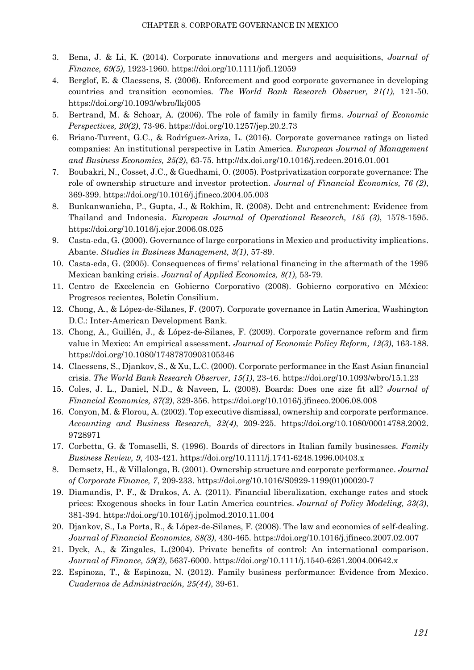- 3. Bena, J. & Li, K. (2014). Corporate innovations and mergers and acquisitions, *Journal of Finance, 69(5)*, 1923-1960. https://doi.org/10.1111/jofi.12059
- 4. Berglof, E. & Claessens, S. (2006). Enforcement and good corporate governance in developing countries and transition economies. *The World Bank Research Observer, 21(1),* 121-50. https://doi.org/10.1093/wbro/lkj005
- 5. Bertrand, M. & Schoar, A. (2006). The role of family in family firms. *Journal of Economic Perspectives, 20(2)*, 73-96. https://doi.org/10.1257/jep.20.2.73
- 6. Briano-Turrent, G.C., & Rodríguez-Ariza, L. (2016). Corporate governance ratings on listed companies: An institutional perspective in Latin America. *European Journal of Management and Business Economics, 25(2)*, 63-75. http://dx.doi.org/10.1016/j.redeen.2016.01.001
- 7. Boubakri, N., Cosset, J.C., & Guedhami, O. (2005). Postprivatization corporate governance: The role of ownership structure and investor protection. *Journal of Financial Economics, 76 (2)*, 369-399. https://doi.org/10.1016/j.jfineco.2004.05.003
- 8. Bunkanwanicha, P., Gupta, J., & Rokhim, R. (2008). Debt and entrenchment: Evidence from Thailand and Indonesia. *European Journal of Operational Research, 185 (3)*, 1578-1595. https://doi.org/10.1016/j.ejor.2006.08.025
- 9. Casta-eda, G. (2000). Governance of large corporations in Mexico and productivity implications. Abante. *Studies in Business Management, 3(1)*, 57-89.
- 10. Casta-eda, G. (2005). Consequences of firms' relational financing in the aftermath of the 1995 Mexican banking crisis. *Journal of Applied Economics, 8(1)*, 53-79.
- 11. Centro de Excelencia en Gobierno Corporativo (2008). Gobierno corporativo en México: Progresos recientes, Boletín Consilium.
- 12. Chong, A., & López-de-Silanes, F. (2007). Corporate governance in Latin America, Washington D.C.: Inter-American Development Bank.
- 13. Chong, A., Guillén, J., & López-de-Silanes, F. (2009). Corporate governance reform and firm value in Mexico: An empirical assessment. *Journal of Economic Policy Reform, 12(3)*, 163-188. https://doi.org/10.1080/17487870903105346
- 14. Claessens, S., Djankov, S., & Xu, L.C. (2000). Corporate performance in the East Asian financial crisis. *The World Bank Research Observer, 15(1)*, 23-46. https://doi.org/10.1093/wbro/15.1.23
- 15. Coles, J. L., Daniel, N.D., & Naveen, L. (2008). Boards: Does one size fit all? *Journal of Financial Economics, 87(2)*, 329-356. https://doi.org/10.1016/j.jfineco.2006.08.008
- 16. Conyon, M. & Florou, A. (2002). Top executive dismissal, ownership and corporate performance. *Accounting and Business Research, 32(4)*, 209-225. https://doi.org/10.1080/00014788.2002. 9728971
- 17. Corbetta, G. & Tomaselli, S. (1996). Boards of directors in Italian family businesses. *Family Business Review, 9*, 403-421. https://doi.org/10.1111/j.1741-6248.1996.00403.x
- 8. Demsetz, H., & Villalonga, B. (2001). Ownership structure and corporate performance. *Journal of Corporate Finance, 7*, 209-233. https://doi.org/10.1016/S0929-1199(01)00020-7
- 19. Diamandis, P. F., & Drakos, A. A. (2011). Financial liberalization, exchange rates and stock prices: Exogenous shocks in four Latin America countries. *Journal of Policy Modeling, 33(3)*, 381-394. https://doi.org/10.1016/j.jpolmod.2010.11.004
- 20. Djankov, S., La Porta, R., & López-de-Silanes, F. (2008). The law and economics of self-dealing. *Journal of Financial Economics, 88(3)*, 430-465. https://doi.org/10.1016/j.jfineco.2007.02.007
- 21. Dyck, A., & Zingales, L.(2004). Private benefits of control: An international comparison. *Journal of Finance, 59(2)*, 5637-6000. https://doi.org/10.1111/j.1540-6261.2004.00642.x
- 22. Espinoza, T., & Espinoza, N. (2012). Family business performance: Evidence from Mexico. *Cuadernos de Administración, 25(44)*, 39-61.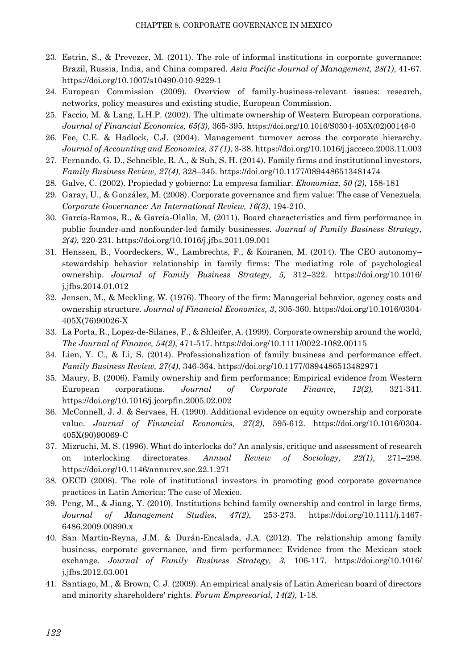- 23. Estrin, S., & Prevezer, M. (2011). The role of informal institutions in corporate governance: Brazil, Russia, India, and China compared. *Asia Pacific Journal of Management, 28(1)*, 41-67. https://doi.org/10.1007/s10490-010-9229-1
- 24. European Commission (2009). Overview of family-business-relevant issues: research, networks, policy measures and existing studie, European Commission.
- 25. Faccio, M. & Lang, L.H.P. (2002). The ultimate ownership of Western European corporations. *Journal of Financial Economics, 65(3)*, 365-395. https://doi.org/10.1016/S0304-405X(02)00146-0
- 26. Fee, C.E. & Hadlock, C.J. (2004). Management turnover across the corporate hierarchy. *Journal of Accounting and Economics, 37 (1)*, 3-38. https://doi.org/10.1016/j.jacceco.2003.11.003
- 27. Fernando, G. D., Schneible, R. A., & Suh, S. H. (2014). Family firms and institutional investors, *Family Business Review, 27(4)*, 328–345. https://doi.org/10.1177/0894486513481474
- 28. Galve, C. (2002). Propiedad y gobierno: La empresa familiar. *Ekonomiaz, 50 (2)*, 158-181
- 29. Garay, U., & González, M. (2008). Corporate governance and firm value: The case of Venezuela. *Corporate Governance: An International Review, 16(3)*, 194-210.
- 30. García-Ramos, R., & García-Olalla, M. (2011). Board characteristics and firm performance in public founder-and nonfounder-led family businesses. *Journal of Family Business Strategy, 2(4)*, 220-231. https://doi.org/10.1016/j.jfbs.2011.09.001
- 31. Henssen, B., Voordeckers, W., Lambrechts, F., & Koiranen, M. (2014). The CEO autonomy– stewardship behavior relationship in family firms: The mediating role of psychological ownership. *Journal of Family Business Strategy, 5,* 312–322. https://doi.org/10.1016/ j.jfbs.2014.01.012
- 32. Jensen, M., & Meckling, W. (1976). Theory of the firm: Managerial behavior, agency costs and ownership structure. *Journal of Financial Economics, 3*, 305-360. https://doi.org/10.1016/0304- 405X(76)90026-X
- 33. La Porta, R., Lopez-de-Silanes, F., & Shleifer, A. (1999). Corporate ownership around the world, *The Journal of Finance, 54(2)*, 471-517. https://doi.org/10.1111/0022-1082.00115
- 34. Lien, Y. C., & Li, S. (2014). Professionalization of family business and performance effect. *Family Business Review, 27(4)*, 346-364. https://doi.org/10.1177/0894486513482971
- 35. Maury, B. (2006). Family ownership and firm performance: Empirical evidence from Western European corporations. *Journal of Corporate Finance, 12(2),* 321-341. https://doi.org/10.1016/j.jcorpfin.2005.02.002
- 36. McConnell, J. J. & Servaes, H. (1990). Additional evidence on equity ownership and corporate value. *Journal of Financial Economics, 27(2)*, 595-612. https://doi.org/10.1016/0304- 405X(90)90069-C
- 37. Mizruchi, M. S. (1996). What do interlocks do? An analysis, critique and assessment of research on interlocking directorates. *Annual Review of Sociology, 22(1)*, 271–298. https://doi.org/10.1146/annurev.soc.22.1.271
- 38. OECD (2008). The role of institutional investors in promoting good corporate governance practices in Latin America: The case of Mexico.
- 39. Peng, M., & Jiang, Y. (2010). Institutions behind family ownership and control in large firms, *Journal of Management Studies, 47(2)*, 253-273. https://doi.org/10.1111/j.1467- 6486.2009.00890.x
- 40. San Martín-Reyna, J.M. & Durán-Encalada, J.A. (2012). The relationship among family business, corporate governance, and firm performance: Evidence from the Mexican stock exchange. *Journal of Family Business Strategy, 3,* 106-117. https://doi.org/10.1016/ j.jfbs.2012.03.001
- 41. Santiago, M., & Brown, C. J. (2009). An empirical analysis of Latin American board of directors and minority shareholders' rights. *Forum Empresarial, 14(2)*, 1-18.